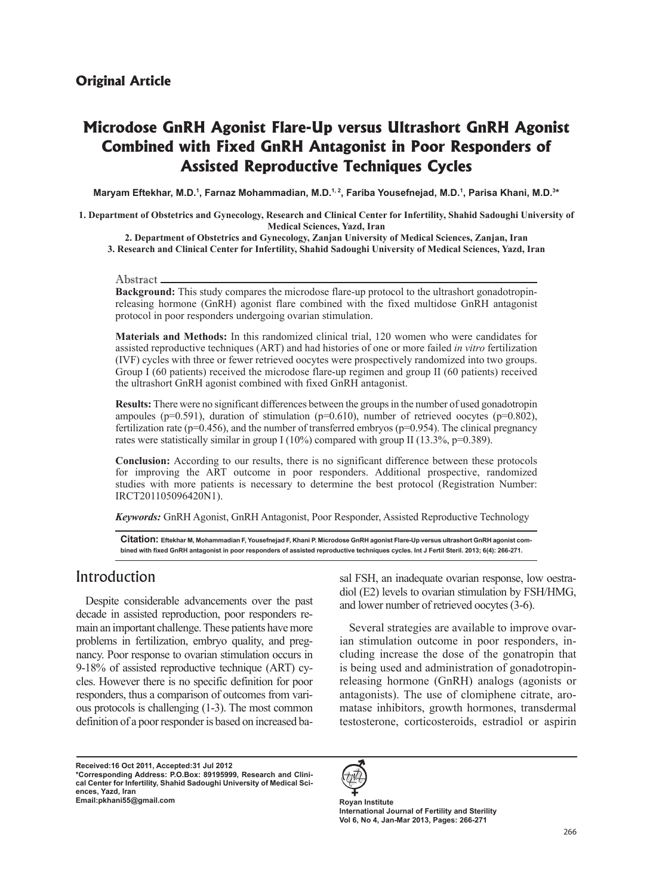# **Microdose GnRH Agonist Flare-Up versus Ultrashort GnRH Agonist Combined with Fixed GnRH Antagonist in Poor Responders of Assisted Reproductive Techniques Cycles**

Maryam Eftekhar, M.D.<sup>1</sup>, Farnaz Mohammadian, M.D.<sup>1, 2</sup>, Fariba Yousefnejad, M.D.<sup>1</sup>, Parisa Khani, M.D.<sup>3\*</sup>

1. Department of Obstetrics and Gynecology, Research and Clinical Center for Infertility, Shahid Sadoughi University of **Medical Sciences, Yazd, Iran** 

2. Department of Obstetrics and Gynecology, Zanjan University of Medical Sciences, Zanjan, Iran

**3. Research and Clinical Center for Infertility, Shahid Sadoughi University of Medical Sciences, Yazd, Iran** 

#### Abstract

releasing hormone (GnRH) agonist flare combined with the fixed multidose GnRH antagonist **Background:** This study compares the microdose flare-up protocol to the ultrashort gonadotropinprotocol in poor responders undergoing ovarian stimulation.

**Materials and Methods:** In this randomized clinical trial, 120 women who were candidates for assisted reproductive techniques (ART) and had histories of one or more failed *in vitro* fertilization (IVF) cycles with three or fewer retrieved oocytes were prospectively randomized into two groups. Group I (60 patients) received the microdose flare-up regimen and group II (60 patients) received the ultrashort GnRH agonist combined with fixed GnRH antagonist.

**Results:** There were no significant differences between the groups in the number of used gonadotropin ampoules ( $p=0.591$ ), duration of stimulation ( $p=0.610$ ), number of retrieved oocytes ( $p=0.802$ ), fertilization rate ( $p=0.456$ ), and the number of transferred embryos ( $p=0.954$ ). The clinical pregnancy rates were statistically similar in group I (10%) compared with group II (13.3%, p=0.389).

Conclusion: According to our results, there is no significant difference between these protocols for improving the ART outcome in poor responders. Additional prospective, randomized studies with more patients is necessary to determine the best protocol (Registration Number: IRCT201105096420N1).

Keywords: GnRH Agonist, GnRH Antagonist, Poor Responder, Assisted Reproductive Technology

bined with fixed GnRH antagonist in poor responders of assisted reproductive techniques cycles. Int J Fertil Steril. 2013; 6(4): 266-271.  $Citation: Eftekhar M, Mohammadian F, Yousefnejad F, Khani P. Microdose GnRH agonist Flare-Up versus ultrashort GnRH agonist comm$ 

### Introduction

Despite considerable advancements over the past main an important challenge. These patients have more decade in assisted reproduction, poor responders renancy. Poor response to ovarian stimulation occurs in problems in fertilization, embryo quality, and pregcles. However there is no specific definition for poor 9-18% of assisted reproductive technique (ART) cyous protocols is challenging  $(1-3)$ . The most common responders, thus a comparison of outcomes from varidefinition of a poor responder is based on increased ba-

Received:16 Oct 2011, Accepted:31 Jul 2012 cal Center for Infertility, Shahid Sadoughi University of Medical Sci-<br>ences, Yazd, Iran \*Corresponding Address: P.O.Box: 89195999, Research and Clini-<br>cal Center for Infertility, Shahid Sadoughi University of Medical Sci-\*Corresponding Address: P.O.Box: 89195999, Research and Clini-**Institute Email:** pkhani55@gmail.com

sal FSH, an inadequate ovarian response, low oestradiol (E2) levels to ovarian stimulation by FSH/HMG, and lower number of retrieved oocytes (3-6).

sal FSH, an inadequate ovarian response, low oestra<br>diol (E2) levels to ovarian stimulation by FSH/HMG<br>and lower number of retrieved oocytes (3-6).<br>For an stimulation outcome in poor responders, in<br>cluding increase the dos cluding increase the dose of the gonatropin that ian stimulation outcome in poor responders, in-Several strategies are available to improve ovarreleasing hormone (GnRH) analogs (agonists or is being used and administration of gonadotropinmatase inhibitors, growth hormones, transdermal antagonists). The use of clomiphene citrate, arotestosterone, corticosteroids, estradiol or aspirin



**International Journal of Fertility and Sterility** Vol 6, No 4, Jan-Mar 2013, Pages: 266-271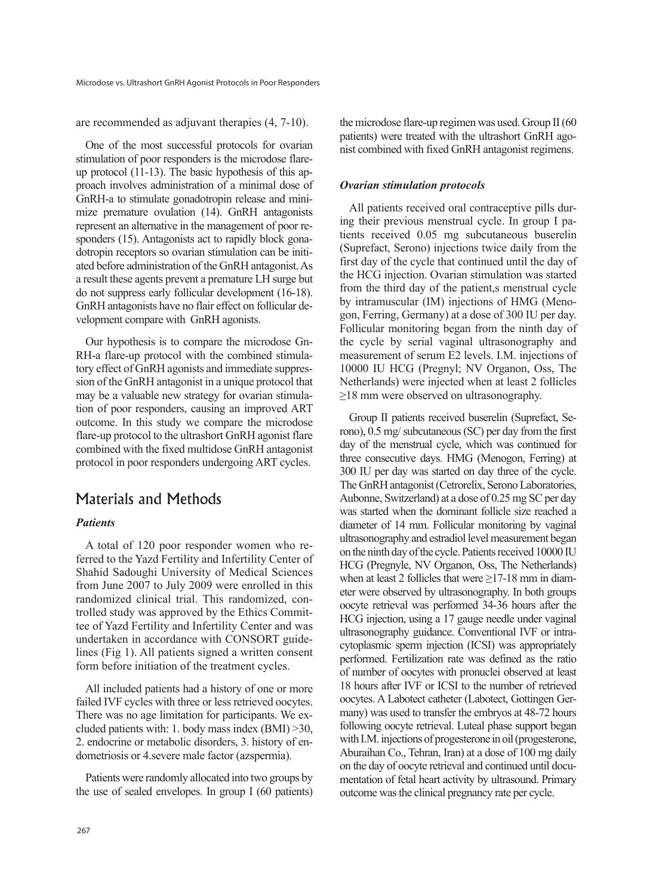are recommended as adjuvant therapies  $(4, 7-10)$ .

One of the most successful protocols for ovarian proach involves administration of a minimal dose of up protocol  $(11-13)$ . The basic hypothesis of this apstimulation of poor responders is the microdose flaremize premature ovulation  $(14)$ . GnRH antagonists GnRH-a to stimulate gonadotropin release and miniated before administration of the GnRH antagonist. As dotropin receptors so ovarian stimulation can be initisponders (15). Antagonists act to rapidly block gonarepresent an alternative in the management of poor rea result these agents prevent a premature LH surge but do not suppress early follicular development (16-18). GnRH antagonists have no flair effect on follicular development compare with GnRH agonists.

sion of the GnRH antagonist in a unique protocol that tory effect of GnRH agonists and immediate suppres-RH-a flare-up protocol with the combined stimula-Our hypothesis is to compare the microdose Gntion of poor responders, causing an improved ART may be a valuable new strategy for ovarian stimulaoutcome. In this study we compare the microdose flare-up protocol to the ultrashort GnRH agonist flare combined with the fixed multidose GnRH antagonist protocol in poor responders undergoing ART cycles.

### Materials and Methods

### *Patients*

ferred to the Yazd Fertility and Infertility Center of A total of 120 poor responder women who re-Shahid Sadoughi University of Medical Sciences from June 2007 to July 2009 were enrolled in this tee of Yazd Fertility and Infertility Center and was trolled study was approved by the Ethics Commitrandomized clinical trial. This randomized, conlines (Fig 1). All patients signed a written consent undertaken in accordance with CONSORT guideform before initiation of the treatment cycles.

All included patients had a history of one or more failed IVF cycles with three or less retrieved oocytes. There was no age limitation for participants. We ex-<br>cluded patients with: 1. body mass index  $(BMI) > 30$ , 2. endocrine or metabolic disorders, 3. history of endometriosis or 4. severe male factor (azspermia).

Patients were randomly allocated into two groups by the use of sealed envelopes. In group I  $(60 \text{ patients})$  the microdose flare-up regimen was used. Group  $II(60)$ nist combined with fixed GnRH antagonist regimens. patients) were treated with the ultrashort GnRH ago-

#### *Ovarian stimulation protocols*

tients received 0.05 mg subcutaneous buserelin ing their previous menstrual cycle. In group I pa-All patients received oral contraceptive pills dur-(Suprefact, Serono) injections twice daily from the first day of the cycle that continued until the day of the HCG injection. Ovarian stimulation was started from the third day of the patient, a menstrual cycle gon, Ferring, Germany) at a dose of 300 IU per day. by intramuscular (IM) injections of HMG (Meno-Follicular monitoring began from the ninth day of the cycle by serial vaginal ultrasonography and measurement of serum E2 levels. I.M. injections of 10000 IU HCG (Pregnyl; NV Organon, Oss, The Netherlands) were injected when at least 2 follicles  $\geq$ 18 mm were observed on ultrasonography.

rono),  $0.5$  mg/ subcutaneous (SC) per day from the first Group II patients received buserelin (Suprefact, Seday of the menstrual cycle, which was continued for three consecutive days. HMG (Menogon, Ferring) at 300 IU per day was started on day three of the cycle. The GnRH antagonist (Cetrorelix, Serono Laboratories, Aubonne, Switzerland) at a dose of 0.25 mg SC per day was started when the dominant follicle size reached a diameter of 14 mm. Follicular monitoring by vaginal ultrasonography and estradiol level measurement began on the ninth day of the cycle. Patients received 10000 IU HCG (Pregnyle, NV Organon, Oss, The Netherlands) eter were observed by ultrasonography. In both groups when at least 2 follicles that were  $\geq$ 17-18 mm in diamoocyte retrieval was performed 34-36 hours after the HCG injection, using a 17 gauge needle under vaginal cytoplasmic sperm injection (ICSI) was appropriately ultrasonography guidance. Conventional IVF or intraperformed. Fertilization rate was defined as the ratio of number of oocytes with pronuclei observed at least 18 hours after IVF or ICSI to the number of retrieved many) was used to transfer the embryos at 48-72 hours oocytes. A Labotect catheter (Labotect, Gottingen Gerfollowing oocyte retrieval. Luteal phase support began with I.M. injections of progesterone in oil (progesterone, Aburaihan Co., Tehran, Iran) at a dose of 100 mg daily mentation of fetal heart activity by ultrasound. Primary on the day of oocyte retrieval and continued until docuoutcome was the clinical pregnancy rate per cycle.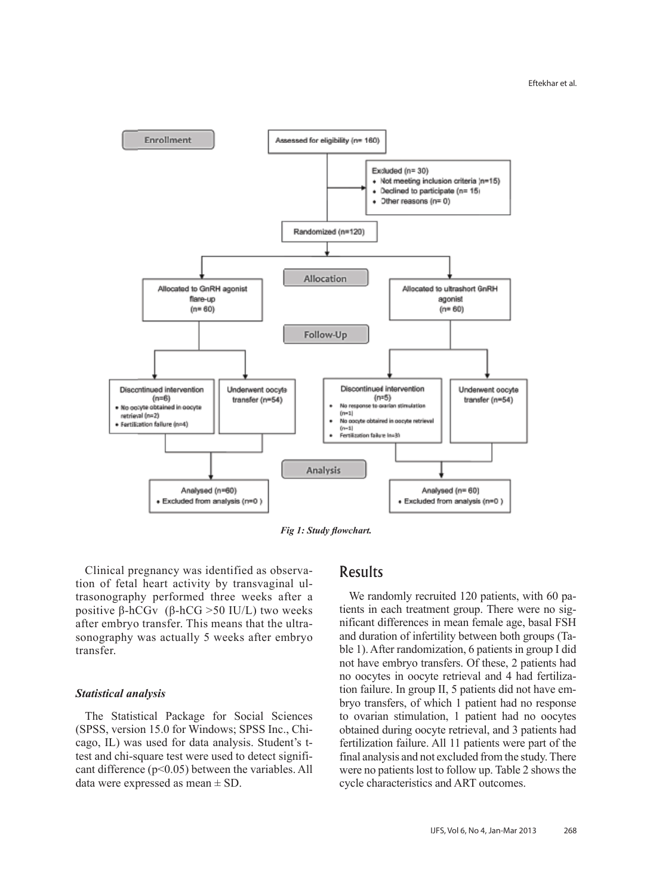

*Fig 1: Study flowchart.* 

trasonography performed three weeks after a tion of fetal heart activity by transvaginal ul-Clinical pregnancy was identified as observapositive  $\beta$ -hCGv ( $\beta$ -hCG >50 IU/L) two weeks sonography was actually 5 weeks after embryo after embryo transfer. This means that the ultratransfer.

#### *analysis Statistical*

The Statistical Package for Social Sciences cant difference ( $p<0.05$ ) between the variables. All test and chi-square test were used to detect significago, IL) was used for data analysis. Student's t-(SPSS, version 15.0 for Windows; SPSS Inc., Chidata were expressed as mean  $\pm$  SD.

### Results

nificant differences in mean female age, basal FSH tients in each treatment group. There were no sig-We randomly recruited 120 patients, with 60 pable 1). After randomization, 6 patients in group I did and duration of infertility between both groups (Tanot have embryo transfers. Of these, 2 patients had bryo transfers, of which 1 patient had no response tion failure. In group II, 5 patients did not have emno oocytes in oocyte retrieval and 4 had fertilizato ovarian stimulation, 1 patient had no oocytes obtained during oocyte retrieval, and 3 patients had fertilization failure. All 11 patients were part of the final analysis and not excluded from the study. There were no patients lost to follow up. Table 2 shows the cycle characteristics and ART outcomes.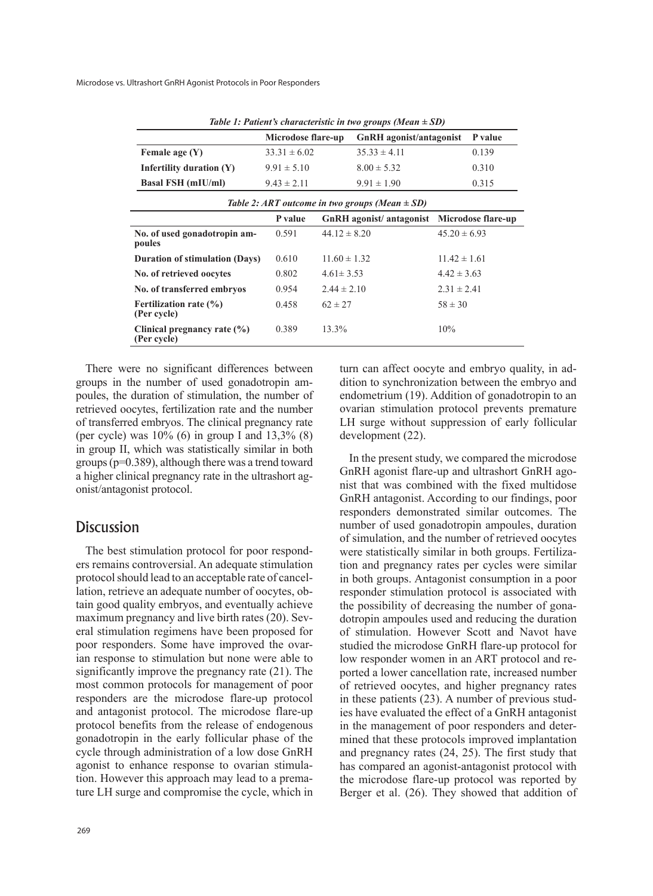Microdose vs. Ultrashort GnRH Agonist Protocols in Poor Responders

| Iable 1: Patient's characteristic in two groups (Mean $\pm$ SD) |                    |                                    |                                    |                    |         |
|-----------------------------------------------------------------|--------------------|------------------------------------|------------------------------------|--------------------|---------|
|                                                                 | Microdose flare-up |                                    | <b>GnRH</b> agonist/antagonist     |                    | P value |
| Female age $(Y)$                                                | $33.31 \pm 6.02$   |                                    | $35.33 \pm 4.11$                   |                    | 0.139   |
| Infertility duration $(Y)$                                      | $9.91 \pm 5.10$    |                                    | $8.00 \pm 5.32$                    |                    | 0.310   |
| <b>Basal FSH</b> (mIU/ml)                                       | $9.43 \pm 2.11$    |                                    | $9.91 \pm 1.90$                    |                    | 0.315   |
| Table 2: ART outcome in two groups (Mean $\pm$ SD)              |                    |                                    |                                    |                    |         |
|                                                                 | P value            | GnRH agonist/antagonist            |                                    | Microdose flare-up |         |
| No. of used gonadotropin am-<br>poules                          | 0.591              | $44.12 \pm 8.20$                   |                                    | $45.20 \pm 6.93$   |         |
| <b>Duration of stimulation (Days)</b>                           | 0.610              | $11.60 \pm 1.32$                   |                                    | $11.42 \pm 1.61$   |         |
| No. of retrieved oocytes                                        | 0.802              |                                    | $4.61 \pm 3.53$<br>$4.42 \pm 3.63$ |                    |         |
| No. of transferred embryos                                      | 0.954              | $2.31 \pm 2.41$<br>$2.44 \pm 2.10$ |                                    |                    |         |
| Fertilization rate $(\% )$<br>(Per cycle)                       | 0.458              | $62 \pm 27$                        |                                    | $58 \pm 30$        |         |
| Clinical pregnancy rate $(\% )$<br>(Per cycle)                  | 0.389              | 13.3%                              |                                    | 10%                |         |

*Table 1: Patient's characteristic in two groups (Mean*  $\pm$  SD)

There were no significant differences between poules, the duration of stimulation, the number of groups in the number of used gonadotropin amretrieved oocytes, fertilization rate and the number of transferred embryos. The clinical pregnancy rate (per cycle) was  $10\%$  (6) in group I and  $13,3\%$  (8) in group II, which was statistically similar in both groups ( $p=0.389$ ), although there was a trend toward a higher clinical pregnancy rate in the ultrashort agonist/antagonist protocol.

### **Discussion**

ers remains controversial. An adequate stimulation The best stimulation protocol for poor respondtain good quality embryos, and eventually achieve lation, retrieve an adequate number of oocytes, obprotocol should lead to an acceptable rate of canceleral stimulation regimens have been proposed for maximum pregnancy and live birth rates (20). Sevian response to stimulation but none were able to poor responders. Some have improved the ovarsignificantly improve the pregnancy rate  $(21)$ . The most common protocols for management of poor responders are the microdose flare-up protocol and antagonist protocol. The microdose flare-up protocol benefits from the release of endogenous gonadotropin in the early follicular phase of the cycle through administration of a low dose GnRH ture LH surge and compromise the cycle, which in tion. However this approach may lead to a premaagonist to enhance response to ovarian stimuladition to synchronization between the embryo and turn can affect oocyte and embryo quality, in adendometrium  $(19)$ . Addition of gonadotropin to an ovarian stimulation protocol prevents premature LH surge without suppression of early follicular development (22).

In the present study, we compared the microdose nist that was combined with the fixed multidose GnRH agonist flare-up and ultrashort GnRH ago-GnRH antagonist. According to our findings, poor responders demonstrated similar outcomes. The number of used gonadotropin ampoules, duration of simulation, and the number of retrieved oocytes tion and pregnancy rates per cycles were similar were statistically similar in both groups. Fertilizain both groups. Antagonist consumption in a poor responder stimulation protocol is associated with dotropin ampoules used and reducing the duration the possibility of decreasing the number of gonaof stimulation. However Scott and Navot have studied the microdose GnRH flare-up protocol for ported a lower cancellation rate, increased number low responder women in an ART protocol and reof retrieved oocytes, and higher pregnancy rates ies have evaluated the effect of a GnRH antagonist in these patients  $(23)$ . A number of previous studmined that these protocols improved implantation in the management of poor responders and deterand pregnancy rates  $(24, 25)$ . The first study that has compared an agonist-antagonist protocol with the microdose flare-up protocol was reported by Berger et al.  $(26)$ . They showed that addition of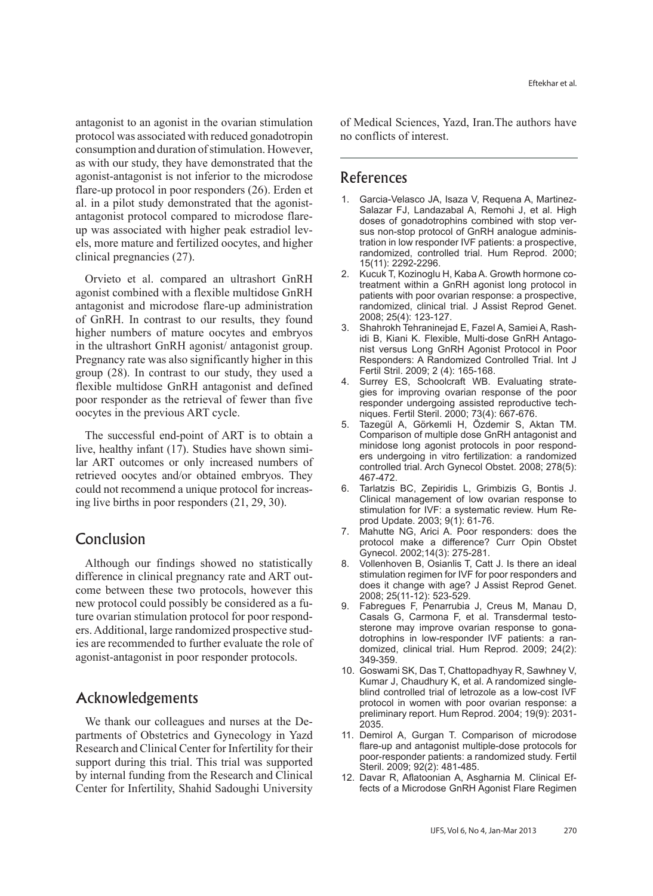antagonist to an agonist in the ovarian stimulation protocol was associated with reduced gonadotropin consumption and duration of stimulation. However, as with our study, they have demonstrated that the agonist-antagonist is not inferior to the microdose flare-up protocol in poor responders  $(26)$ . Erden et els, more mature and fertilized oocytes, and higher up was associated with higher peak estradiol levantagonist protocol compared to microdose flareal. in a pilot study demonstrated that the agonistclinical pregnancies  $(27)$ .

Orvieto et al. compared an ultrashort GnRH agonist combined with a flexible multidose GnRH antagonist and microdose flare-up administration of GnRH. In contrast to our results, they found higher numbers of mature oocytes and embryos in the ultrashort GnRH agonist/ antagonist group. Pregnancy rate was also significantly higher in this group  $(28)$ . In contrast to our study, they used a flexible multidose GnRH antagonist and defined poor responder as the retrieval of fewer than five oocytes in the previous ART cycle.

The successful end-point of ART is to obtain a lar ART outcomes or only increased numbers of live, healthy infant (17). Studies have shown simiretrieved oocytes and/or obtained embryos. They could not recommend a unique protocol for increasing live births in poor responders  $(21, 29, 30)$ .

### Conclusion

Although our findings showed no statistically come between these two protocols, however this difference in clinical pregnancy rate and ART outies are recommended to further evaluate the role of ers. Additional, large randomized prospective studture ovarian stimulation protocol for poor respondnew protocol could possibly be considered as a fuagonist-antagonist in poor responder protocols.

## Acknowledgements

partments of Obstetrics and Gynecology in Yazd We thank our colleagues and nurses at the De-Research and Clinical Center for Infertility for their support during this trial. This trial was supported by internal funding from the Research and Clinical Center for Infertility, Shahid Sadoughi University of Medical Sciences, Yazd, Iran The authors have no conflicts of interest.

### References

- Salazar FJ, Landazabal A, Remohi J, et al. High 1. Garcia-Velasco JA, Isaza V, Requena A, Martineztration in low responder IVF patients: a prospective, sus non-stop protocol of GnRH analogue adminisdoses of gonadotrophins combined with stop verrandomized, controlled trial. Hum Reprod. 2000; 15(11): 2292-2296.
- treatment within a GnRH agonist long protocol in 2. Kucuk T, Kozinoglu H, Kaba A. Growth hormone copatients with poor ovarian response: a prospective, randomized, clinical trial. J Assist Reprod Genet. 2008; 25(4): 123-127.
- nist versus Long GnRH Agonist Protocol in Poor idi B, Kiani K. Flexible, Multi-dose GnRH Antago-3. Shahrokh Tehraninejad E, Fazel A, Samiei A, Rash-Responders: A Randomized Controlled Trial. Int J Fertil Stril. 2009; 2 (4): 165-168.
- gies for improving ovarian response of the poor 4. Surrey ES, Schoolcraft WB. Evaluating strateniques. Fertil Steril. 2000; 73(4): 667-676. responder undergoing assisted reproductive tech-
- Tazegül A, Görkemli H, Özdemir S, Aktan TM. Comparison of multiple dose GnRH antagonist and ers undergoing in vitro fertilization: a randomized minidose long agonist protocols in poor respondcontrolled trial. Arch Gynecol Obstet. 2008; 278(5): 467-472.
- 6. Tarlatzis BC, Zepiridis L, Grimbizis G, Bontis J. Clinical management of low ovarian response to stimulation for IVF: a systematic review. Hum Re-<br>prod Update. 2003; 9(1): 61-76.
- 7. Mahutte NG, Arici A. Poor responders: does the protocol make a difference? Curr Opin Obstet Gynecol. 2002;14(3): 275-281.
- 8. Vollenhoven B, Osianlis T, Catt J. Is there an ideal stimulation regimen for IVF for poor responders and does it change with age? J Assist Reprod Genet. 2008; 25(11-12): 523-529.
- Fabregues F, Penarrubia J, Creus M, Manau D, domized, clinical trial. Hum Reprod. 2009; 24(2): dotrophins in low-responder IVF patients: a ransterone may improve ovarian response to gona-Casals G, Carmona F, et al. Transdermal testo-349-359.
- 10. Goswami SK, Das T, Chattopadhyay R, Sawhney V, blind controlled trial of letrozole as a low-cost IVF Kumar J, Chaudhury K, et al. A randomized singleprotocol in women with poor ovarian response: a preliminary report. Hum Reprod. 2004; 19(9): 2031-2035.
- 11. Demirol A. Gurgan T. Comparison of microdose flare-up and antagonist multiple-dose protocols for poor-responder patients: a randomized study. Fertil Steril. 2009; 92(2): 481-485.
- fects of a Microdose GnRH Agonist Flare Regimen 12. Davar R, Aflatoonian A, Asgharnia M. Clinical Ef-